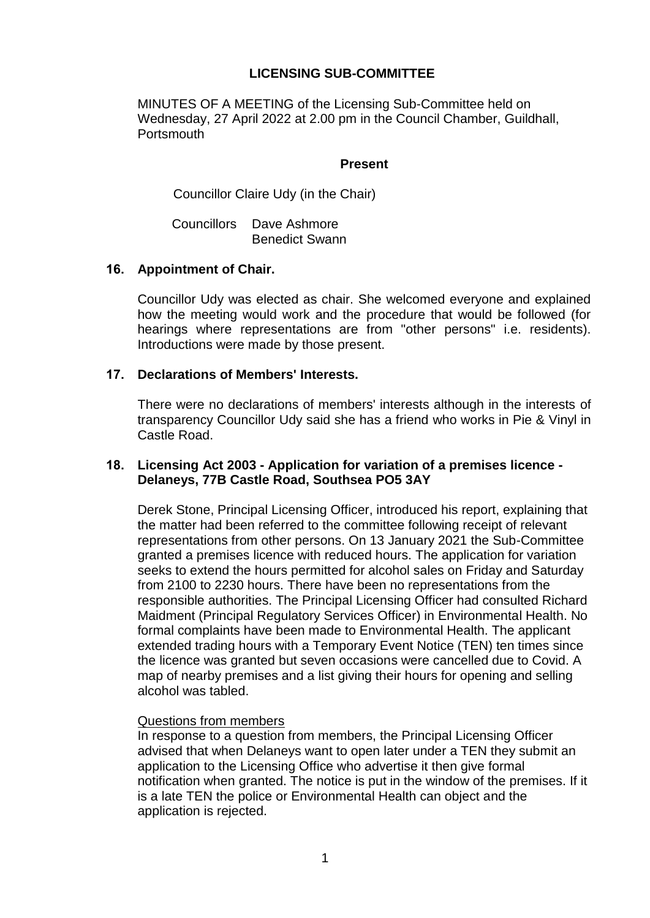# **LICENSING SUB-COMMITTEE**

MINUTES OF A MEETING of the Licensing Sub-Committee held on Wednesday, 27 April 2022 at 2.00 pm in the Council Chamber, Guildhall, **Portsmouth** 

### **Present**

Councillor Claire Udy (in the Chair)

Councillors Dave Ashmore Benedict Swann

### **16. Appointment of Chair.**

Councillor Udy was elected as chair. She welcomed everyone and explained how the meeting would work and the procedure that would be followed (for hearings where representations are from "other persons" i.e. residents). Introductions were made by those present.

### **17. Declarations of Members' Interests.**

There were no declarations of members' interests although in the interests of transparency Councillor Udy said she has a friend who works in Pie & Vinyl in Castle Road.

## **18. Licensing Act 2003 - Application for variation of a premises licence - Delaneys, 77B Castle Road, Southsea PO5 3AY**

Derek Stone, Principal Licensing Officer, introduced his report, explaining that the matter had been referred to the committee following receipt of relevant representations from other persons. On 13 January 2021 the Sub-Committee granted a premises licence with reduced hours. The application for variation seeks to extend the hours permitted for alcohol sales on Friday and Saturday from 2100 to 2230 hours. There have been no representations from the responsible authorities. The Principal Licensing Officer had consulted Richard Maidment (Principal Regulatory Services Officer) in Environmental Health. No formal complaints have been made to Environmental Health. The applicant extended trading hours with a Temporary Event Notice (TEN) ten times since the licence was granted but seven occasions were cancelled due to Covid. A map of nearby premises and a list giving their hours for opening and selling alcohol was tabled.

#### Questions from members

In response to a question from members, the Principal Licensing Officer advised that when Delaneys want to open later under a TEN they submit an application to the Licensing Office who advertise it then give formal notification when granted. The notice is put in the window of the premises. If it is a late TEN the police or Environmental Health can object and the application is rejected.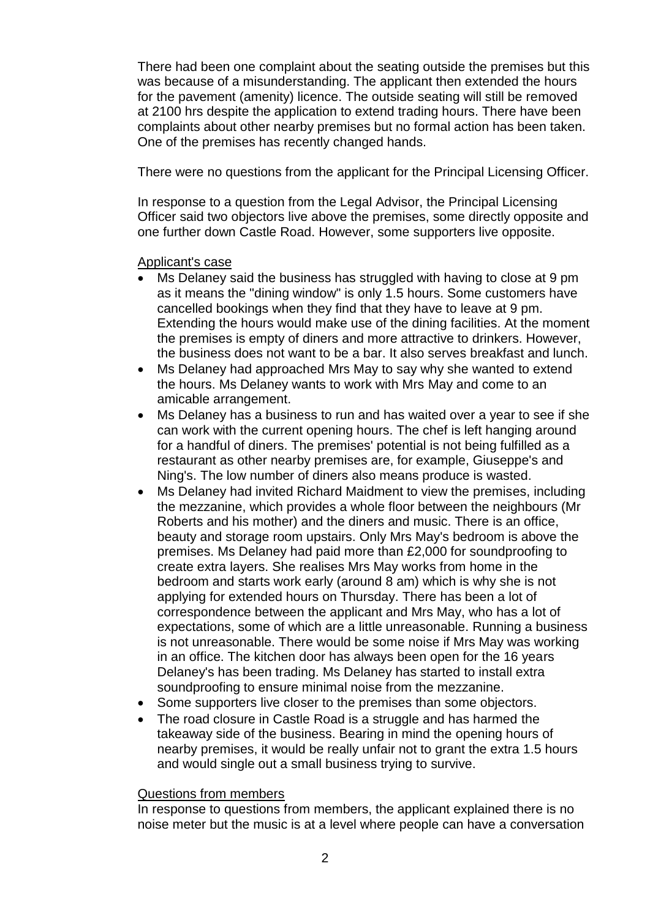There had been one complaint about the seating outside the premises but this was because of a misunderstanding. The applicant then extended the hours for the pavement (amenity) licence. The outside seating will still be removed at 2100 hrs despite the application to extend trading hours. There have been complaints about other nearby premises but no formal action has been taken. One of the premises has recently changed hands.

There were no questions from the applicant for the Principal Licensing Officer.

In response to a question from the Legal Advisor, the Principal Licensing Officer said two objectors live above the premises, some directly opposite and one further down Castle Road. However, some supporters live opposite.

## Applicant's case

- Ms Delaney said the business has struggled with having to close at 9 pm as it means the "dining window" is only 1.5 hours. Some customers have cancelled bookings when they find that they have to leave at 9 pm. Extending the hours would make use of the dining facilities. At the moment the premises is empty of diners and more attractive to drinkers. However, the business does not want to be a bar. It also serves breakfast and lunch.
- Ms Delaney had approached Mrs May to say why she wanted to extend the hours. Ms Delaney wants to work with Mrs May and come to an amicable arrangement.
- Ms Delaney has a business to run and has waited over a year to see if she can work with the current opening hours. The chef is left hanging around for a handful of diners. The premises' potential is not being fulfilled as a restaurant as other nearby premises are, for example, Giuseppe's and Ning's. The low number of diners also means produce is wasted.
- Ms Delaney had invited Richard Maidment to view the premises, including the mezzanine, which provides a whole floor between the neighbours (Mr Roberts and his mother) and the diners and music. There is an office, beauty and storage room upstairs. Only Mrs May's bedroom is above the premises. Ms Delaney had paid more than £2,000 for soundproofing to create extra layers. She realises Mrs May works from home in the bedroom and starts work early (around 8 am) which is why she is not applying for extended hours on Thursday. There has been a lot of correspondence between the applicant and Mrs May, who has a lot of expectations, some of which are a little unreasonable. Running a business is not unreasonable. There would be some noise if Mrs May was working in an office. The kitchen door has always been open for the 16 years Delaney's has been trading. Ms Delaney has started to install extra soundproofing to ensure minimal noise from the mezzanine.
- Some supporters live closer to the premises than some objectors.
- The road closure in Castle Road is a struggle and has harmed the takeaway side of the business. Bearing in mind the opening hours of nearby premises, it would be really unfair not to grant the extra 1.5 hours and would single out a small business trying to survive.

#### Questions from members

In response to questions from members, the applicant explained there is no noise meter but the music is at a level where people can have a conversation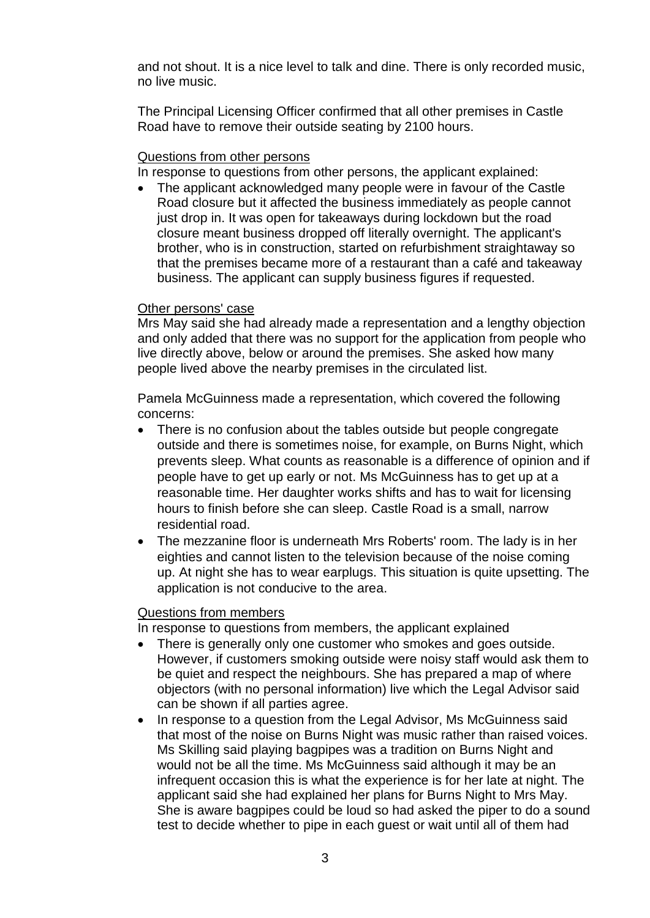and not shout. It is a nice level to talk and dine. There is only recorded music, no live music.

The Principal Licensing Officer confirmed that all other premises in Castle Road have to remove their outside seating by 2100 hours.

### Questions from other persons

In response to questions from other persons, the applicant explained:

• The applicant acknowledged many people were in favour of the Castle Road closure but it affected the business immediately as people cannot just drop in. It was open for takeaways during lockdown but the road closure meant business dropped off literally overnight. The applicant's brother, who is in construction, started on refurbishment straightaway so that the premises became more of a restaurant than a café and takeaway business. The applicant can supply business figures if requested.

#### Other persons' case

Mrs May said she had already made a representation and a lengthy objection and only added that there was no support for the application from people who live directly above, below or around the premises. She asked how many people lived above the nearby premises in the circulated list.

Pamela McGuinness made a representation, which covered the following concerns:

- There is no confusion about the tables outside but people congregate outside and there is sometimes noise, for example, on Burns Night, which prevents sleep. What counts as reasonable is a difference of opinion and if people have to get up early or not. Ms McGuinness has to get up at a reasonable time. Her daughter works shifts and has to wait for licensing hours to finish before she can sleep. Castle Road is a small, narrow residential road.
- The mezzanine floor is underneath Mrs Roberts' room. The lady is in her eighties and cannot listen to the television because of the noise coming up. At night she has to wear earplugs. This situation is quite upsetting. The application is not conducive to the area.

#### Questions from members

In response to questions from members, the applicant explained

- There is generally only one customer who smokes and goes outside. However, if customers smoking outside were noisy staff would ask them to be quiet and respect the neighbours. She has prepared a map of where objectors (with no personal information) live which the Legal Advisor said can be shown if all parties agree.
- In response to a question from the Legal Advisor, Ms McGuinness said that most of the noise on Burns Night was music rather than raised voices. Ms Skilling said playing bagpipes was a tradition on Burns Night and would not be all the time. Ms McGuinness said although it may be an infrequent occasion this is what the experience is for her late at night. The applicant said she had explained her plans for Burns Night to Mrs May. She is aware bagpipes could be loud so had asked the piper to do a sound test to decide whether to pipe in each guest or wait until all of them had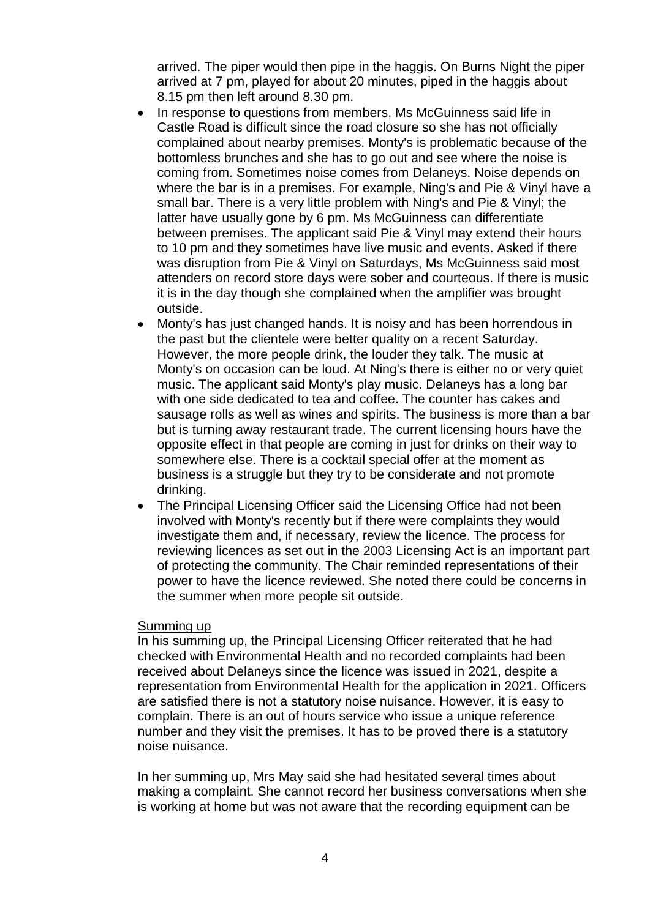arrived. The piper would then pipe in the haggis. On Burns Night the piper arrived at 7 pm, played for about 20 minutes, piped in the haggis about 8.15 pm then left around 8.30 pm.

- In response to questions from members, Ms McGuinness said life in Castle Road is difficult since the road closure so she has not officially complained about nearby premises. Monty's is problematic because of the bottomless brunches and she has to go out and see where the noise is coming from. Sometimes noise comes from Delaneys. Noise depends on where the bar is in a premises. For example, Ning's and Pie & Vinyl have a small bar. There is a very little problem with Ning's and Pie & Vinyl; the latter have usually gone by 6 pm. Ms McGuinness can differentiate between premises. The applicant said Pie & Vinyl may extend their hours to 10 pm and they sometimes have live music and events. Asked if there was disruption from Pie & Vinyl on Saturdays, Ms McGuinness said most attenders on record store days were sober and courteous. If there is music it is in the day though she complained when the amplifier was brought outside.
- Monty's has just changed hands. It is noisy and has been horrendous in the past but the clientele were better quality on a recent Saturday. However, the more people drink, the louder they talk. The music at Monty's on occasion can be loud. At Ning's there is either no or very quiet music. The applicant said Monty's play music. Delaneys has a long bar with one side dedicated to tea and coffee. The counter has cakes and sausage rolls as well as wines and spirits. The business is more than a bar but is turning away restaurant trade. The current licensing hours have the opposite effect in that people are coming in just for drinks on their way to somewhere else. There is a cocktail special offer at the moment as business is a struggle but they try to be considerate and not promote drinking.
- The Principal Licensing Officer said the Licensing Office had not been involved with Monty's recently but if there were complaints they would investigate them and, if necessary, review the licence. The process for reviewing licences as set out in the 2003 Licensing Act is an important part of protecting the community. The Chair reminded representations of their power to have the licence reviewed. She noted there could be concerns in the summer when more people sit outside.

#### Summing up

In his summing up, the Principal Licensing Officer reiterated that he had checked with Environmental Health and no recorded complaints had been received about Delaneys since the licence was issued in 2021, despite a representation from Environmental Health for the application in 2021. Officers are satisfied there is not a statutory noise nuisance. However, it is easy to complain. There is an out of hours service who issue a unique reference number and they visit the premises. It has to be proved there is a statutory noise nuisance.

In her summing up, Mrs May said she had hesitated several times about making a complaint. She cannot record her business conversations when she is working at home but was not aware that the recording equipment can be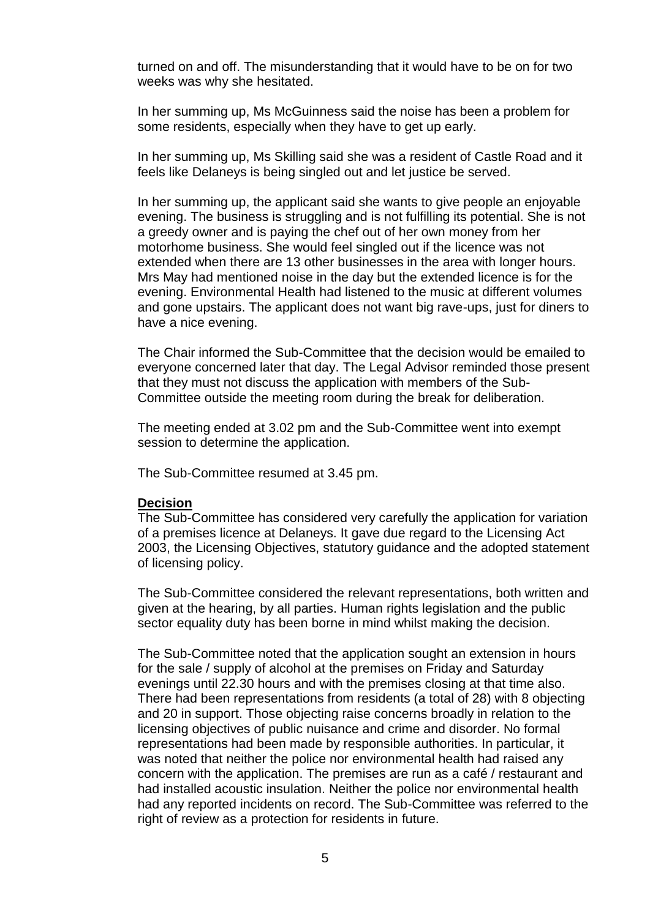turned on and off. The misunderstanding that it would have to be on for two weeks was why she hesitated.

In her summing up, Ms McGuinness said the noise has been a problem for some residents, especially when they have to get up early.

In her summing up, Ms Skilling said she was a resident of Castle Road and it feels like Delaneys is being singled out and let justice be served.

In her summing up, the applicant said she wants to give people an enjoyable evening. The business is struggling and is not fulfilling its potential. She is not a greedy owner and is paying the chef out of her own money from her motorhome business. She would feel singled out if the licence was not extended when there are 13 other businesses in the area with longer hours. Mrs May had mentioned noise in the day but the extended licence is for the evening. Environmental Health had listened to the music at different volumes and gone upstairs. The applicant does not want big rave-ups, just for diners to have a nice evening.

The Chair informed the Sub-Committee that the decision would be emailed to everyone concerned later that day. The Legal Advisor reminded those present that they must not discuss the application with members of the Sub-Committee outside the meeting room during the break for deliberation.

The meeting ended at 3.02 pm and the Sub-Committee went into exempt session to determine the application.

The Sub-Committee resumed at 3.45 pm.

#### **Decision**

The Sub-Committee has considered very carefully the application for variation of a premises licence at Delaneys. It gave due regard to the Licensing Act 2003, the Licensing Objectives, statutory guidance and the adopted statement of licensing policy.

The Sub-Committee considered the relevant representations, both written and given at the hearing, by all parties. Human rights legislation and the public sector equality duty has been borne in mind whilst making the decision.

The Sub-Committee noted that the application sought an extension in hours for the sale / supply of alcohol at the premises on Friday and Saturday evenings until 22.30 hours and with the premises closing at that time also. There had been representations from residents (a total of 28) with 8 objecting and 20 in support. Those objecting raise concerns broadly in relation to the licensing objectives of public nuisance and crime and disorder. No formal representations had been made by responsible authorities. In particular, it was noted that neither the police nor environmental health had raised any concern with the application. The premises are run as a café / restaurant and had installed acoustic insulation. Neither the police nor environmental health had any reported incidents on record. The Sub-Committee was referred to the right of review as a protection for residents in future.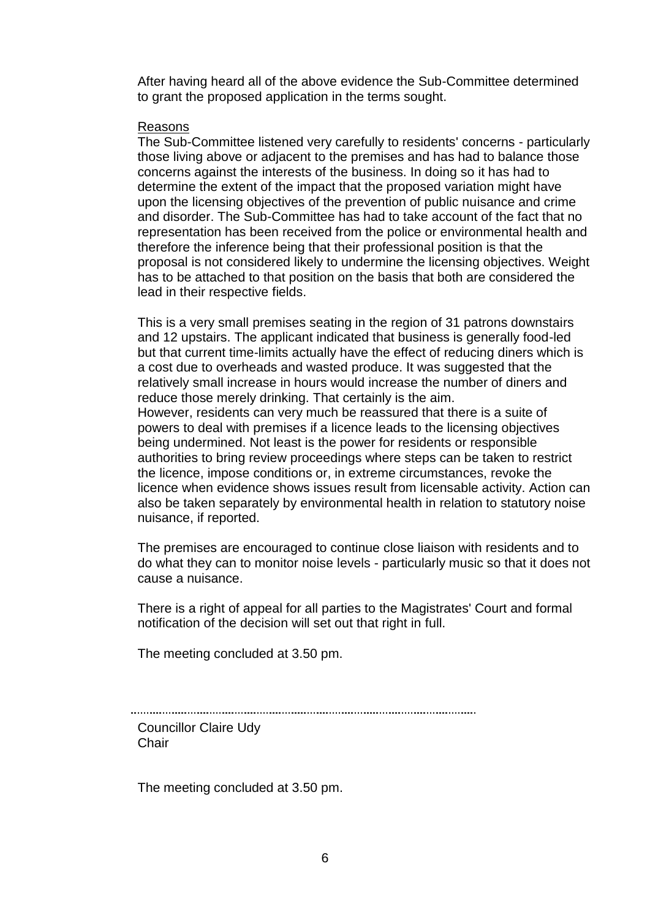After having heard all of the above evidence the Sub-Committee determined to grant the proposed application in the terms sought.

### Reasons

The Sub-Committee listened very carefully to residents' concerns - particularly those living above or adjacent to the premises and has had to balance those concerns against the interests of the business. In doing so it has had to determine the extent of the impact that the proposed variation might have upon the licensing objectives of the prevention of public nuisance and crime and disorder. The Sub-Committee has had to take account of the fact that no representation has been received from the police or environmental health and therefore the inference being that their professional position is that the proposal is not considered likely to undermine the licensing objectives. Weight has to be attached to that position on the basis that both are considered the lead in their respective fields.

This is a very small premises seating in the region of 31 patrons downstairs and 12 upstairs. The applicant indicated that business is generally food-led but that current time-limits actually have the effect of reducing diners which is a cost due to overheads and wasted produce. It was suggested that the relatively small increase in hours would increase the number of diners and reduce those merely drinking. That certainly is the aim. However, residents can very much be reassured that there is a suite of powers to deal with premises if a licence leads to the licensing objectives being undermined. Not least is the power for residents or responsible authorities to bring review proceedings where steps can be taken to restrict the licence, impose conditions or, in extreme circumstances, revoke the licence when evidence shows issues result from licensable activity. Action can also be taken separately by environmental health in relation to statutory noise nuisance, if reported.

The premises are encouraged to continue close liaison with residents and to do what they can to monitor noise levels - particularly music so that it does not cause a nuisance.

There is a right of appeal for all parties to the Magistrates' Court and formal notification of the decision will set out that right in full.

The meeting concluded at 3.50 pm.

Councillor Claire Udy **Chair** 

The meeting concluded at 3.50 pm.